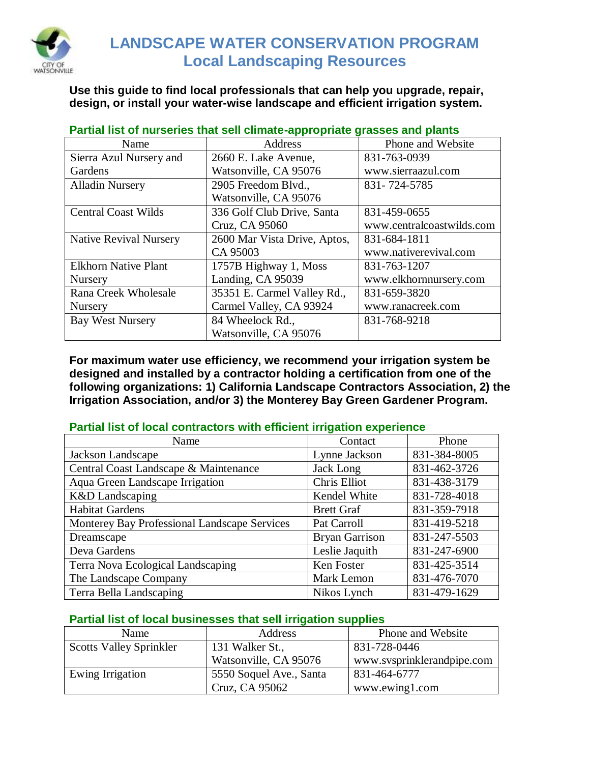

## **LANDSCAPE WATER CONSERVATION PROGRAM Local Landscaping Resources**

**Use this guide to find local professionals that can help you upgrade, repair, design, or install your water-wise landscape and efficient irrigation system.**

| <b>Strategrade that con chinate applicate</b><br>$9.400000$ and $P(x)$ |                              |                           |  |  |
|------------------------------------------------------------------------|------------------------------|---------------------------|--|--|
| Name                                                                   | Address                      | Phone and Website         |  |  |
| Sierra Azul Nursery and                                                | 2660 E. Lake Avenue,         | 831-763-0939              |  |  |
| Gardens                                                                | Watsonville, CA 95076        | www.sierraazul.com        |  |  |
| <b>Alladin Nursery</b>                                                 | 2905 Freedom Blvd.,          | 831-724-5785              |  |  |
|                                                                        | Watsonville, CA 95076        |                           |  |  |
| <b>Central Coast Wilds</b>                                             | 336 Golf Club Drive, Santa   | 831-459-0655              |  |  |
|                                                                        | Cruz, CA 95060               | www.centralcoastwilds.com |  |  |
| <b>Native Revival Nursery</b>                                          | 2600 Mar Vista Drive, Aptos, | 831-684-1811              |  |  |
|                                                                        | CA 95003                     | www.nativerevival.com     |  |  |
| <b>Elkhorn Native Plant</b>                                            | 1757B Highway 1, Moss        | 831-763-1207              |  |  |
| Nursery                                                                | Landing, CA 95039            | www.elkhornnursery.com    |  |  |
| Rana Creek Wholesale                                                   | 35351 E. Carmel Valley Rd.,  | 831-659-3820              |  |  |
| Nursery                                                                | Carmel Valley, CA 93924      | www.ranacreek.com         |  |  |
| <b>Bay West Nursery</b>                                                | 84 Wheelock Rd.,             | 831-768-9218              |  |  |
|                                                                        | Watsonville, CA 95076        |                           |  |  |

**Partial list of nurseries that sell climate-appropriate grasses and plants**

**For maximum water use efficiency, we recommend your irrigation system be designed and installed by a contractor holding a certification from one of the following organizations: 1) California Landscape Contractors Association, 2) the Irrigation Association, and/or 3) the Monterey Bay Green Gardener Program.** 

### **Partial list of local contractors with efficient irrigation experience**

| Name                                         | Contact               | Phone        |
|----------------------------------------------|-----------------------|--------------|
| Jackson Landscape                            | Lynne Jackson         | 831-384-8005 |
| Central Coast Landscape & Maintenance        | Jack Long             | 831-462-3726 |
| Aqua Green Landscape Irrigation              | Chris Elliot          | 831-438-3179 |
| K&D Landscaping                              | Kendel White          | 831-728-4018 |
| <b>Habitat Gardens</b>                       | <b>Brett Graf</b>     | 831-359-7918 |
| Monterey Bay Professional Landscape Services | Pat Carroll           | 831-419-5218 |
| Dreamscape                                   | <b>Bryan Garrison</b> | 831-247-5503 |
| Deva Gardens                                 | Leslie Jaquith        | 831-247-6900 |
| Terra Nova Ecological Landscaping            | Ken Foster            | 831-425-3514 |
| The Landscape Company                        | Mark Lemon            | 831-476-7070 |
| Terra Bella Landscaping                      | Nikos Lynch           | 831-479-1629 |

### **Partial list of local businesses that sell irrigation supplies**

| Name                           | Address                 | Phone and Website          |
|--------------------------------|-------------------------|----------------------------|
| <b>Scotts Valley Sprinkler</b> | 131 Walker St.,         | 831-728-0446               |
|                                | Watsonville, CA 95076   | www.svsprinklerandpipe.com |
| Ewing Irrigation               | 5550 Soquel Ave., Santa | 831-464-6777               |
|                                | Cruz, CA 95062          | www.ewing1.com             |